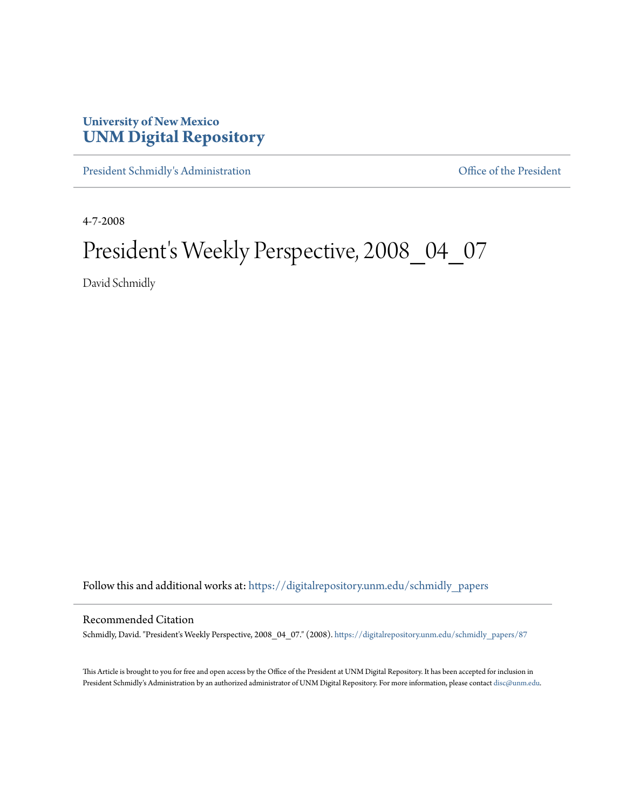# **University of New Mexico [UNM Digital Repository](https://digitalrepository.unm.edu?utm_source=digitalrepository.unm.edu%2Fschmidly_papers%2F87&utm_medium=PDF&utm_campaign=PDFCoverPages)**

[President Schmidly's Administration](https://digitalrepository.unm.edu/schmidly_papers?utm_source=digitalrepository.unm.edu%2Fschmidly_papers%2F87&utm_medium=PDF&utm_campaign=PDFCoverPages) [Office of the President](https://digitalrepository.unm.edu/ofc_president?utm_source=digitalrepository.unm.edu%2Fschmidly_papers%2F87&utm_medium=PDF&utm_campaign=PDFCoverPages)

4-7-2008

# President's Weekly Perspective, 2008\_04\_07

David Schmidly

Follow this and additional works at: [https://digitalrepository.unm.edu/schmidly\\_papers](https://digitalrepository.unm.edu/schmidly_papers?utm_source=digitalrepository.unm.edu%2Fschmidly_papers%2F87&utm_medium=PDF&utm_campaign=PDFCoverPages)

#### Recommended Citation

Schmidly, David. "President's Weekly Perspective, 2008\_04\_07." (2008). [https://digitalrepository.unm.edu/schmidly\\_papers/87](https://digitalrepository.unm.edu/schmidly_papers/87?utm_source=digitalrepository.unm.edu%2Fschmidly_papers%2F87&utm_medium=PDF&utm_campaign=PDFCoverPages)

This Article is brought to you for free and open access by the Office of the President at UNM Digital Repository. It has been accepted for inclusion in President Schmidly's Administration by an authorized administrator of UNM Digital Repository. For more information, please contact [disc@unm.edu](mailto:disc@unm.edu).